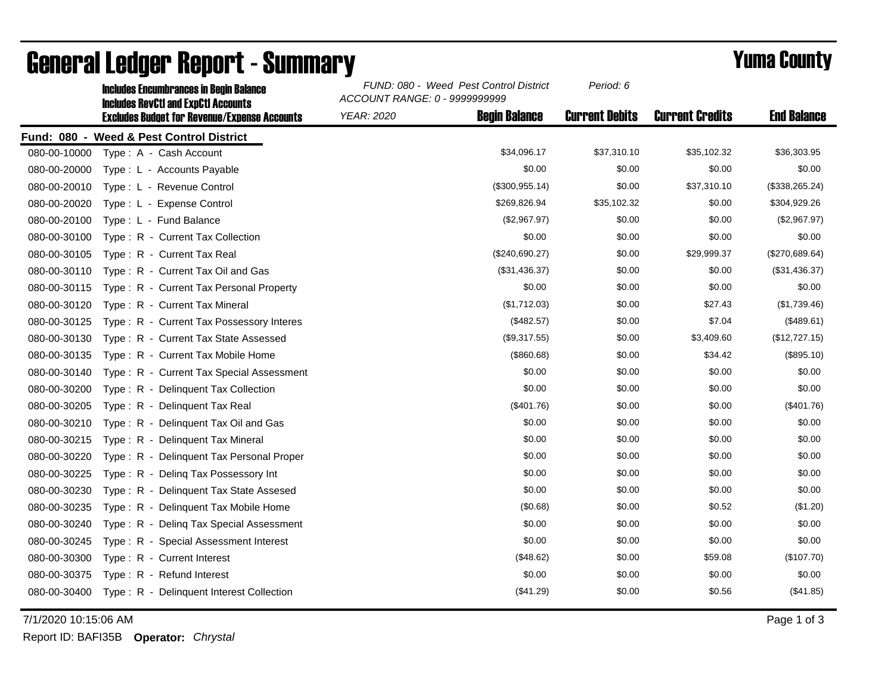|              | <b>Includes Encumbrances in Begin Balance</b><br><b>Includes RevCtI and ExpCtI Accounts</b> | FUND: 080 - Weed Pest Control District<br>ACCOUNT RANGE: 0 - 9999999999 | Period: 6             |                        |                    |
|--------------|---------------------------------------------------------------------------------------------|-------------------------------------------------------------------------|-----------------------|------------------------|--------------------|
|              | <b>Excludes Budget for Revenue/Expense Accounts</b>                                         | <b>Begin Balance</b><br><b>YEAR: 2020</b>                               | <b>Current Debits</b> | <b>Current Credits</b> | <b>End Balance</b> |
|              | Fund: 080 - Weed & Pest Control District                                                    |                                                                         |                       |                        |                    |
| 080-00-10000 | Type: A - Cash Account                                                                      | \$34,096.17                                                             | \$37,310.10           | \$35,102.32            | \$36,303.95        |
| 080-00-20000 | Type: L - Accounts Payable                                                                  | \$0.00                                                                  | \$0.00                | \$0.00                 | \$0.00             |
| 080-00-20010 | Type: L - Revenue Control                                                                   | (\$300,955.14)                                                          | \$0.00                | \$37,310.10            | (\$338,265.24)     |
| 080-00-20020 | Type: L - Expense Control                                                                   | \$269,826.94                                                            | \$35,102.32           | \$0.00                 | \$304,929.26       |
| 080-00-20100 | Type: L - Fund Balance                                                                      | (\$2,967.97)                                                            | \$0.00                | \$0.00                 | (\$2,967.97)       |
| 080-00-30100 | Type: R - Current Tax Collection                                                            | \$0.00                                                                  | \$0.00                | \$0.00                 | \$0.00             |
| 080-00-30105 | Type: R - Current Tax Real                                                                  | (\$240,690.27)                                                          | \$0.00                | \$29,999.37            | (\$270,689.64)     |
| 080-00-30110 | Type: R - Current Tax Oil and Gas                                                           | (\$31,436.37)                                                           | \$0.00                | \$0.00                 | (\$31,436.37)      |
| 080-00-30115 | Type: R - Current Tax Personal Property                                                     | \$0.00                                                                  | \$0.00                | \$0.00                 | \$0.00             |
| 080-00-30120 | Type: R - Current Tax Mineral                                                               | (\$1,712.03)                                                            | \$0.00                | \$27.43                | (\$1,739.46)       |
| 080-00-30125 | Type: R - Current Tax Possessory Interes                                                    | (\$482.57)                                                              | \$0.00                | \$7.04                 | (\$489.61)         |
| 080-00-30130 | Type: R - Current Tax State Assessed                                                        | (\$9,317.55)                                                            | \$0.00                | \$3,409.60             | (\$12,727.15)      |
| 080-00-30135 | Type: R - Current Tax Mobile Home                                                           | (\$860.68)                                                              | \$0.00                | \$34.42                | (\$895.10)         |
| 080-00-30140 | Type: R - Current Tax Special Assessment                                                    | \$0.00                                                                  | \$0.00                | \$0.00                 | \$0.00             |
| 080-00-30200 | Type: R - Delinquent Tax Collection                                                         | \$0.00                                                                  | \$0.00                | \$0.00                 | \$0.00             |
| 080-00-30205 | Type: R - Delinquent Tax Real                                                               | (\$401.76)                                                              | \$0.00                | \$0.00                 | $(\$401.76)$       |
| 080-00-30210 | Type: R - Delinquent Tax Oil and Gas                                                        | \$0.00                                                                  | \$0.00                | \$0.00                 | \$0.00             |
| 080-00-30215 | Type: R - Delinquent Tax Mineral                                                            | \$0.00                                                                  | \$0.00                | \$0.00                 | \$0.00             |
| 080-00-30220 | Type: R - Delinquent Tax Personal Proper                                                    | \$0.00                                                                  | \$0.00                | \$0.00                 | \$0.00             |
| 080-00-30225 | Type: R - Deling Tax Possessory Int                                                         | \$0.00                                                                  | \$0.00                | \$0.00                 | \$0.00             |
| 080-00-30230 | Type: R - Delinquent Tax State Assesed                                                      | \$0.00                                                                  | \$0.00                | \$0.00                 | \$0.00             |
| 080-00-30235 | Type: R - Delinquent Tax Mobile Home                                                        | (\$0.68)                                                                | \$0.00                | \$0.52                 | (\$1.20)           |
| 080-00-30240 | Type: R - Deling Tax Special Assessment                                                     | \$0.00                                                                  | \$0.00                | \$0.00                 | \$0.00             |
| 080-00-30245 | Type: R - Special Assessment Interest                                                       | \$0.00                                                                  | \$0.00                | \$0.00                 | \$0.00             |
| 080-00-30300 | Type: R - Current Interest                                                                  | (\$48.62)                                                               | \$0.00                | \$59.08                | (\$107.70)         |
| 080-00-30375 | Type: R - Refund Interest                                                                   | \$0.00                                                                  | \$0.00                | \$0.00                 | \$0.00             |
| 080-00-30400 | Type: R - Delinquent Interest Collection                                                    | (\$41.29)                                                               | \$0.00                | \$0.56                 | (\$41.85)          |

## General Ledger Report - Summary **Example 2018** Yuma County

7/1/2020 10:15:06 AM Page 1 of 3

Report ID: BAFI35B **Operator:** *Chrystal*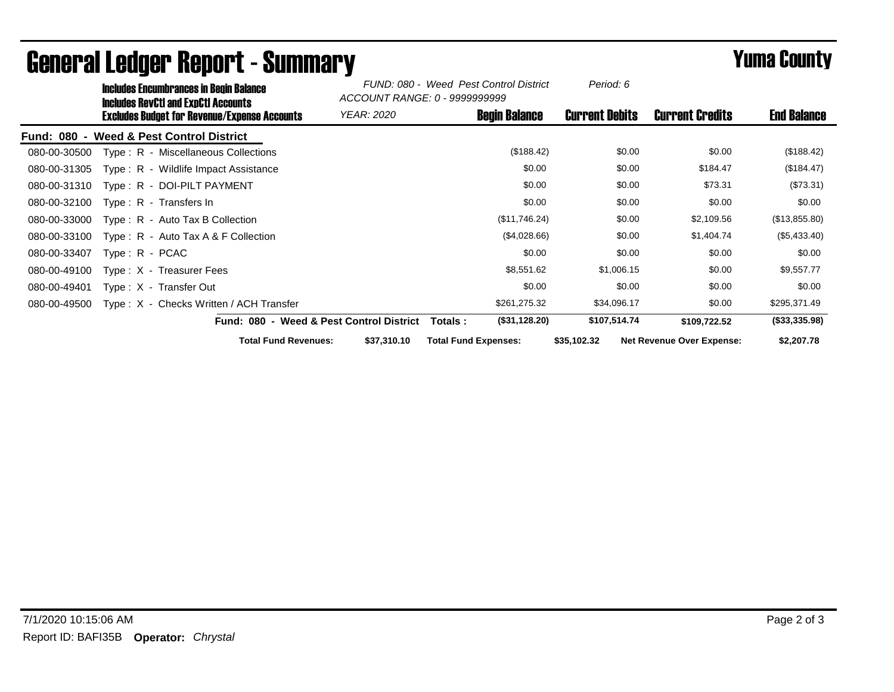|                                    | <b>Includes Encumbrances in Begin Balance</b><br>Includes RevCtI and ExpCtI Accounts<br>Excludes Budget for Revenue/Expense Accounts |                                          | FUND: 080 - Weed Pest Control District<br>ACCOUNT RANGE: 0 - 9999999999 |                             | Period: 6             |                                  |                    |
|------------------------------------|--------------------------------------------------------------------------------------------------------------------------------------|------------------------------------------|-------------------------------------------------------------------------|-----------------------------|-----------------------|----------------------------------|--------------------|
|                                    |                                                                                                                                      |                                          | <i>YEAR: 2020</i>                                                       | <b>Begin Balance</b>        | <b>Current Debits</b> | <b>Current Credits</b>           | <b>End Balance</b> |
| <b>Fund: 080</b><br>$\blacksquare$ | <b>Weed &amp; Pest Control District</b>                                                                                              |                                          |                                                                         |                             |                       |                                  |                    |
| 080-00-30500                       | Type: R - Miscellaneous Collections                                                                                                  |                                          |                                                                         | (\$188.42)                  | \$0.00                | \$0.00                           | (\$188.42)         |
| 080-00-31305                       | Type: R - Wildlife Impact Assistance                                                                                                 |                                          |                                                                         | \$0.00                      | \$0.00                | \$184.47                         | (\$184.47)         |
| 080-00-31310                       | Type: R - DOI-PILT PAYMENT                                                                                                           |                                          |                                                                         | \$0.00                      | \$0.00                | \$73.31                          | (\$73.31)          |
| 080-00-32100                       | Type: R - Transfers In                                                                                                               |                                          |                                                                         | \$0.00                      | \$0.00                | \$0.00                           | \$0.00             |
| 080-00-33000                       | $Type: R - Auto Tax B Collection$                                                                                                    |                                          |                                                                         | (\$11,746.24)               | \$0.00                | \$2,109.56                       | (\$13,855.80)      |
| 080-00-33100                       | Type: R - Auto Tax A & F Collection                                                                                                  |                                          |                                                                         | (\$4,028.66)                | \$0.00                | \$1,404.74                       | (\$5,433.40)       |
| 080-00-33407                       | Type: R - PCAC                                                                                                                       |                                          |                                                                         | \$0.00                      | \$0.00                | \$0.00                           | \$0.00             |
| 080-00-49100                       | Type $: X - T$ reasurer Fees                                                                                                         |                                          |                                                                         | \$8,551.62                  | \$1,006.15            | \$0.00                           | \$9,557.77         |
| 080-00-49401                       | Type: X - Transfer Out                                                                                                               |                                          |                                                                         | \$0.00                      | \$0.00                | \$0.00                           | \$0.00             |
| 080-00-49500                       | Type: X - Checks Written / ACH Transfer                                                                                              |                                          |                                                                         | \$261,275.32                | \$34,096.17           | \$0.00                           | \$295,371.49       |
|                                    |                                                                                                                                      | Fund: 080 - Weed & Pest Control District |                                                                         | (\$31,128.20)<br>Totals :   | \$107,514.74          | \$109,722.52                     | (\$33,335.98)      |
|                                    |                                                                                                                                      | <b>Total Fund Revenues:</b>              | \$37,310.10                                                             | <b>Total Fund Expenses:</b> | \$35,102.32           | <b>Net Revenue Over Expense:</b> | \$2,207.78         |

## General Ledger Report - Summary **Example 2018** Yuma County